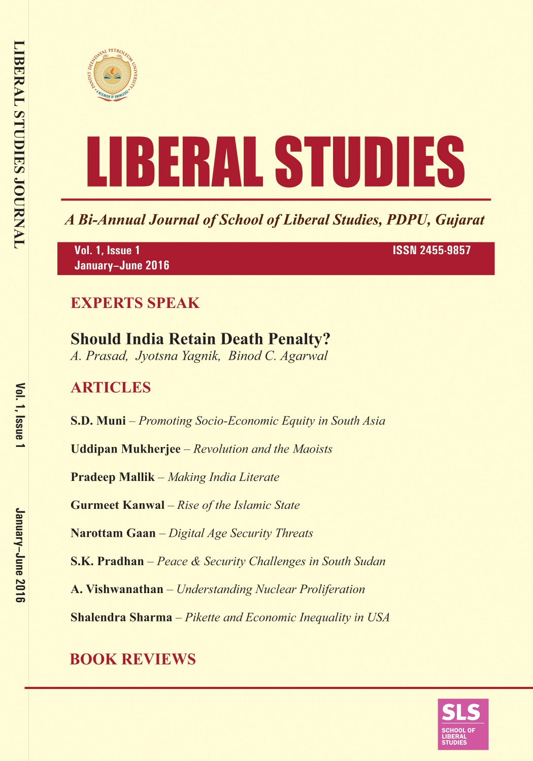



A Bi-Annual Journal of School of Liberal Studies, PDPU, Gujarat

Vol. 1, Issue 1 January-June 2016 **ISSN 2455-9857** 

## **EXPERTS SPEAK**

# **Should India Retain Death Penalty?**

A. Prasad, Jyotsna Yagnik, Binod C. Agarwal

## **ARTICLES**

S.D. Muni – Promoting Socio-Economic Equity in South Asia

**Uddipan Mukherjee** – Revolution and the Maoists

**Pradeep Mallik** – Making India Literate

**Gurmeet Kanwal** - Rise of the Islamic State

Narottam Gaan - Digital Age Security Threats

**S.K. Pradhan** – Peace & Security Challenges in South Sudan

A. Vishwanathan - Understanding Nuclear Proliferation

**Shalendra Sharma** - Pikette and Economic Inequality in USA

# **BOOK REVIEWS**

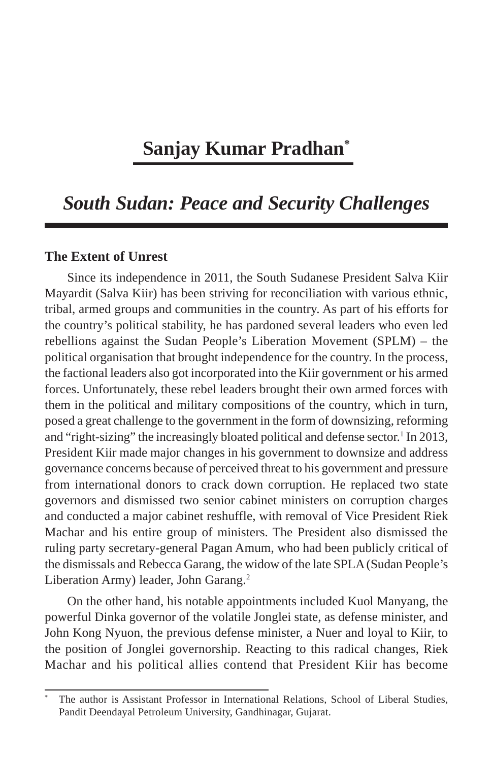### **Sanjay Kumar Pradhan\***

### *South Sudan: Peace and Security Challenges*

#### **The Extent of Unrest**

Since its independence in 2011, the South Sudanese President Salva Kiir Mayardit (Salva Kiir) has been striving for reconciliation with various ethnic, tribal, armed groups and communities in the country. As part of his efforts for the country's political stability, he has pardoned several leaders who even led rebellions against the Sudan People's Liberation Movement (SPLM) – the political organisation that brought independence for the country. In the process, the factional leaders also got incorporated into the Kiir government or his armed forces. Unfortunately, these rebel leaders brought their own armed forces with them in the political and military compositions of the country, which in turn, posed a great challenge to the government in the form of downsizing, reforming and "right-sizing" the increasingly bloated political and defense sector.<sup>1</sup> In 2013, President Kiir made major changes in his government to downsize and address governance concerns because of perceived threat to his government and pressure from international donors to crack down corruption. He replaced two state governors and dismissed two senior cabinet ministers on corruption charges and conducted a major cabinet reshuffle, with removal of Vice President Riek Machar and his entire group of ministers. The President also dismissed the ruling party secretary-general Pagan Amum, who had been publicly critical of the dismissals and Rebecca Garang, the widow of the late SPLA (Sudan People's Liberation Army) leader, John Garang.<sup>2</sup>

On the other hand, his notable appointments included Kuol Manyang, the powerful Dinka governor of the volatile Jonglei state, as defense minister, and John Kong Nyuon, the previous defense minister, a Nuer and loyal to Kiir, to the position of Jonglei governorship. Reacting to this radical changes, Riek Machar and his political allies contend that President Kiir has become

<sup>\*</sup> The author is Assistant Professor in International Relations, School of Liberal Studies, Pandit Deendayal Petroleum University, Gandhinagar, Gujarat.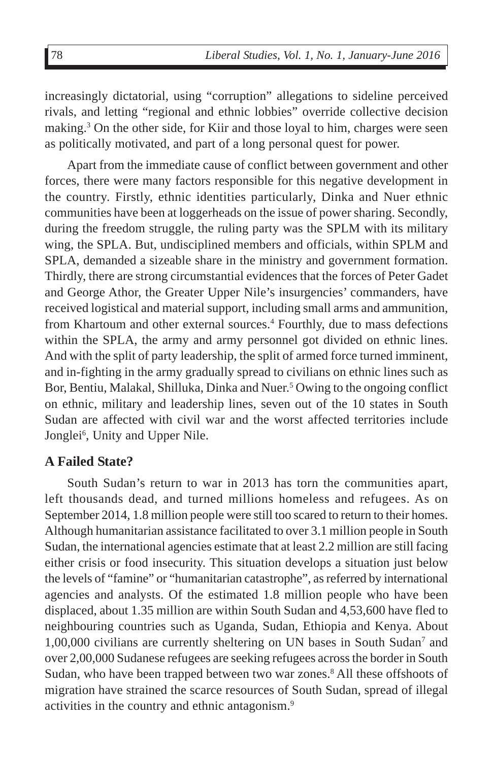increasingly dictatorial, using "corruption" allegations to sideline perceived rivals, and letting "regional and ethnic lobbies" override collective decision making.<sup>3</sup> On the other side, for Kiir and those loyal to him, charges were seen as politically motivated, and part of a long personal quest for power.

Apart from the immediate cause of conflict between government and other forces, there were many factors responsible for this negative development in the country. Firstly, ethnic identities particularly, Dinka and Nuer ethnic communities have been at loggerheads on the issue of power sharing. Secondly, during the freedom struggle, the ruling party was the SPLM with its military wing, the SPLA. But, undisciplined members and officials, within SPLM and SPLA, demanded a sizeable share in the ministry and government formation. Thirdly, there are strong circumstantial evidences that the forces of Peter Gadet and George Athor, the Greater Upper Nile's insurgencies' commanders, have received logistical and material support, including small arms and ammunition, from Khartoum and other external sources.<sup>4</sup> Fourthly, due to mass defections within the SPLA, the army and army personnel got divided on ethnic lines. And with the split of party leadership, the split of armed force turned imminent, and in-fighting in the army gradually spread to civilians on ethnic lines such as Bor, Bentiu, Malakal, Shilluka, Dinka and Nuer.<sup>5</sup> Owing to the ongoing conflict on ethnic, military and leadership lines, seven out of the 10 states in South Sudan are affected with civil war and the worst affected territories include Jonglei<sup>6</sup>, Unity and Upper Nile.

#### **A Failed State?**

South Sudan's return to war in 2013 has torn the communities apart, left thousands dead, and turned millions homeless and refugees. As on September 2014, 1.8 million people were still too scared to return to their homes. Although humanitarian assistance facilitated to over 3.1 million people in South Sudan, the international agencies estimate that at least 2.2 million are still facing either crisis or food insecurity. This situation develops a situation just below the levels of "famine" or "humanitarian catastrophe", as referred by international agencies and analysts. Of the estimated 1.8 million people who have been displaced, about 1.35 million are within South Sudan and 4,53,600 have fled to neighbouring countries such as Uganda, Sudan, Ethiopia and Kenya. About 1,00,000 civilians are currently sheltering on UN bases in South Sudan<sup>7</sup> and over 2,00,000 Sudanese refugees are seeking refugees across the border in South Sudan, who have been trapped between two war zones.<sup>8</sup> All these offshoots of migration have strained the scarce resources of South Sudan, spread of illegal activities in the country and ethnic antagonism.<sup>9</sup>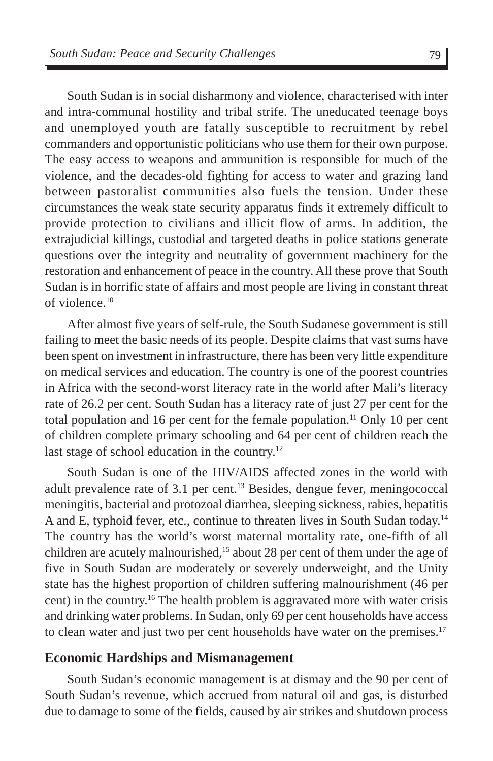South Sudan is in social disharmony and violence, characterised with inter and intra-communal hostility and tribal strife. The uneducated teenage boys and unemployed youth are fatally susceptible to recruitment by rebel commanders and opportunistic politicians who use them for their own purpose. The easy access to weapons and ammunition is responsible for much of the violence, and the decades-old fighting for access to water and grazing land between pastoralist communities also fuels the tension. Under these circumstances the weak state security apparatus finds it extremely difficult to provide protection to civilians and illicit flow of arms. In addition, the extrajudicial killings, custodial and targeted deaths in police stations generate questions over the integrity and neutrality of government machinery for the restoration and enhancement of peace in the country. All these prove that South Sudan is in horrific state of affairs and most people are living in constant threat of violence. $10$ 

After almost five years of self-rule, the South Sudanese government is still failing to meet the basic needs of its people. Despite claims that vast sums have been spent on investment in infrastructure, there has been very little expenditure on medical services and education. The country is one of the poorest countries in Africa with the second-worst literacy rate in the world after Mali's literacy rate of 26.2 per cent. South Sudan has a literacy rate of just 27 per cent for the total population and 16 per cent for the female population.<sup>11</sup> Only 10 per cent of children complete primary schooling and 64 per cent of children reach the last stage of school education in the country.<sup>12</sup>

South Sudan is one of the HIV/AIDS affected zones in the world with adult prevalence rate of 3.1 per cent.13 Besides, dengue fever, meningococcal meningitis, bacterial and protozoal diarrhea, sleeping sickness, rabies, hepatitis A and E, typhoid fever, etc., continue to threaten lives in South Sudan today.14 The country has the world's worst maternal mortality rate, one-fifth of all children are acutely malnourished,<sup>15</sup> about 28 per cent of them under the age of five in South Sudan are moderately or severely underweight, and the Unity state has the highest proportion of children suffering malnourishment (46 per cent) in the country.16 The health problem is aggravated more with water crisis and drinking water problems. In Sudan, only 69 per cent households have access to clean water and just two per cent households have water on the premises.<sup>17</sup>

#### **Economic Hardships and Mismanagement**

South Sudan's economic management is at dismay and the 90 per cent of South Sudan's revenue, which accrued from natural oil and gas, is disturbed due to damage to some of the fields, caused by air strikes and shutdown process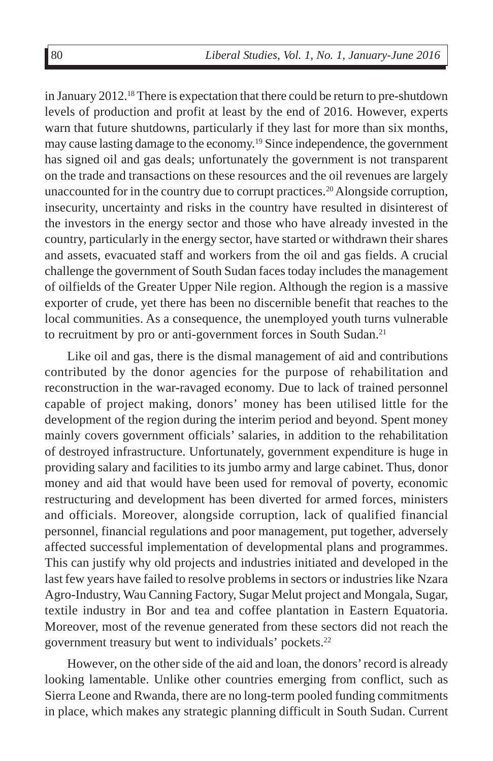in January  $2012<sup>18</sup>$  There is expectation that there could be return to pre-shutdown levels of production and profit at least by the end of 2016. However, experts warn that future shutdowns, particularly if they last for more than six months, may cause lasting damage to the economy.19 Since independence, the government has signed oil and gas deals; unfortunately the government is not transparent on the trade and transactions on these resources and the oil revenues are largely unaccounted for in the country due to corrupt practices.20 Alongside corruption, insecurity, uncertainty and risks in the country have resulted in disinterest of the investors in the energy sector and those who have already invested in the country, particularly in the energy sector, have started or withdrawn their shares and assets, evacuated staff and workers from the oil and gas fields. A crucial challenge the government of South Sudan faces today includes the management of oilfields of the Greater Upper Nile region. Although the region is a massive exporter of crude, yet there has been no discernible benefit that reaches to the local communities. As a consequence, the unemployed youth turns vulnerable to recruitment by pro or anti-government forces in South Sudan.<sup>21</sup>

Like oil and gas, there is the dismal management of aid and contributions contributed by the donor agencies for the purpose of rehabilitation and reconstruction in the war-ravaged economy. Due to lack of trained personnel capable of project making, donors' money has been utilised little for the development of the region during the interim period and beyond. Spent money mainly covers government officials' salaries, in addition to the rehabilitation of destroyed infrastructure. Unfortunately, government expenditure is huge in providing salary and facilities to its jumbo army and large cabinet. Thus, donor money and aid that would have been used for removal of poverty, economic restructuring and development has been diverted for armed forces, ministers and officials. Moreover, alongside corruption, lack of qualified financial personnel, financial regulations and poor management, put together, adversely affected successful implementation of developmental plans and programmes. This can justify why old projects and industries initiated and developed in the last few years have failed to resolve problems in sectors or industries like Nzara Agro-Industry, Wau Canning Factory, Sugar Melut project and Mongala, Sugar, textile industry in Bor and tea and coffee plantation in Eastern Equatoria. Moreover, most of the revenue generated from these sectors did not reach the government treasury but went to individuals' pockets.22

However, on the other side of the aid and loan, the donors' record is already looking lamentable. Unlike other countries emerging from conflict, such as Sierra Leone and Rwanda, there are no long-term pooled funding commitments in place, which makes any strategic planning difficult in South Sudan. Current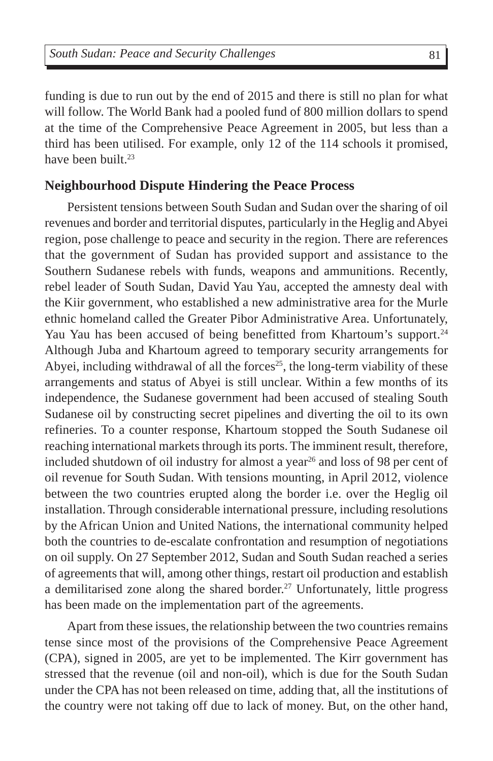funding is due to run out by the end of 2015 and there is still no plan for what will follow. The World Bank had a pooled fund of 800 million dollars to spend at the time of the Comprehensive Peace Agreement in 2005, but less than a third has been utilised. For example, only 12 of the 114 schools it promised, have been built.<sup>23</sup>

#### **Neighbourhood Dispute Hindering the Peace Process**

Persistent tensions between South Sudan and Sudan over the sharing of oil revenues and border and territorial disputes, particularly in the Heglig and Abyei region, pose challenge to peace and security in the region. There are references that the government of Sudan has provided support and assistance to the Southern Sudanese rebels with funds, weapons and ammunitions. Recently, rebel leader of South Sudan, David Yau Yau, accepted the amnesty deal with the Kiir government, who established a new administrative area for the Murle ethnic homeland called the Greater Pibor Administrative Area. Unfortunately, Yau Yau has been accused of being benefitted from Khartoum's support.<sup>24</sup> Although Juba and Khartoum agreed to temporary security arrangements for Abyei, including withdrawal of all the forces<sup>25</sup>, the long-term viability of these arrangements and status of Abyei is still unclear. Within a few months of its independence, the Sudanese government had been accused of stealing South Sudanese oil by constructing secret pipelines and diverting the oil to its own refineries. To a counter response, Khartoum stopped the South Sudanese oil reaching international markets through its ports. The imminent result, therefore, included shutdown of oil industry for almost a year<sup>26</sup> and loss of 98 per cent of oil revenue for South Sudan. With tensions mounting, in April 2012, violence between the two countries erupted along the border i.e. over the Heglig oil installation. Through considerable international pressure, including resolutions by the African Union and United Nations, the international community helped both the countries to de-escalate confrontation and resumption of negotiations on oil supply. On 27 September 2012, Sudan and South Sudan reached a series of agreements that will, among other things, restart oil production and establish a demilitarised zone along the shared border.<sup>27</sup> Unfortunately, little progress has been made on the implementation part of the agreements.

Apart from these issues, the relationship between the two countries remains tense since most of the provisions of the Comprehensive Peace Agreement (CPA), signed in 2005, are yet to be implemented. The Kirr government has stressed that the revenue (oil and non-oil), which is due for the South Sudan under the CPA has not been released on time, adding that, all the institutions of the country were not taking off due to lack of money. But, on the other hand,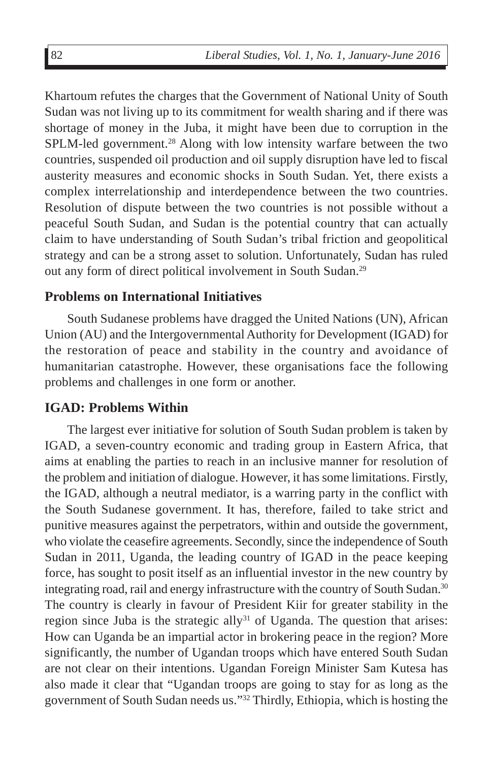Khartoum refutes the charges that the Government of National Unity of South Sudan was not living up to its commitment for wealth sharing and if there was shortage of money in the Juba, it might have been due to corruption in the SPLM-led government.<sup>28</sup> Along with low intensity warfare between the two countries, suspended oil production and oil supply disruption have led to fiscal austerity measures and economic shocks in South Sudan. Yet, there exists a complex interrelationship and interdependence between the two countries. Resolution of dispute between the two countries is not possible without a peaceful South Sudan, and Sudan is the potential country that can actually claim to have understanding of South Sudan's tribal friction and geopolitical strategy and can be a strong asset to solution. Unfortunately, Sudan has ruled out any form of direct political involvement in South Sudan.29

#### **Problems on International Initiatives**

South Sudanese problems have dragged the United Nations (UN), African Union (AU) and the Intergovernmental Authority for Development (IGAD) for the restoration of peace and stability in the country and avoidance of humanitarian catastrophe. However, these organisations face the following problems and challenges in one form or another.

#### **IGAD: Problems Within**

The largest ever initiative for solution of South Sudan problem is taken by IGAD, a seven-country economic and trading group in Eastern Africa, that aims at enabling the parties to reach in an inclusive manner for resolution of the problem and initiation of dialogue. However, it has some limitations. Firstly, the IGAD, although a neutral mediator, is a warring party in the conflict with the South Sudanese government. It has, therefore, failed to take strict and punitive measures against the perpetrators, within and outside the government, who violate the ceasefire agreements. Secondly, since the independence of South Sudan in 2011, Uganda, the leading country of IGAD in the peace keeping force, has sought to posit itself as an influential investor in the new country by integrating road, rail and energy infrastructure with the country of South Sudan.30 The country is clearly in favour of President Kiir for greater stability in the region since Juba is the strategic ally<sup>31</sup> of Uganda. The question that arises: How can Uganda be an impartial actor in brokering peace in the region? More significantly, the number of Ugandan troops which have entered South Sudan are not clear on their intentions. Ugandan Foreign Minister Sam Kutesa has also made it clear that "Ugandan troops are going to stay for as long as the government of South Sudan needs us."32 Thirdly, Ethiopia, which is hosting the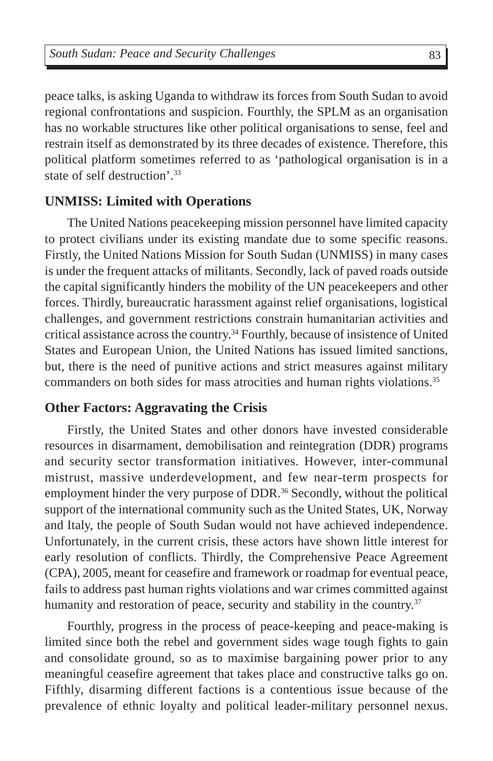peace talks, is asking Uganda to withdraw its forces from South Sudan to avoid regional confrontations and suspicion. Fourthly, the SPLM as an organisation has no workable structures like other political organisations to sense, feel and restrain itself as demonstrated by its three decades of existence. Therefore, this political platform sometimes referred to as 'pathological organisation is in a state of self destruction'.33

#### **UNMISS: Limited with Operations**

The United Nations peacekeeping mission personnel have limited capacity to protect civilians under its existing mandate due to some specific reasons. Firstly, the United Nations Mission for South Sudan (UNMISS) in many cases is under the frequent attacks of militants. Secondly, lack of paved roads outside the capital significantly hinders the mobility of the UN peacekeepers and other forces. Thirdly, bureaucratic harassment against relief organisations, logistical challenges, and government restrictions constrain humanitarian activities and critical assistance across the country.34 Fourthly, because of insistence of United States and European Union, the United Nations has issued limited sanctions, but, there is the need of punitive actions and strict measures against military commanders on both sides for mass atrocities and human rights violations.<sup>35</sup>

#### **Other Factors: Aggravating the Crisis**

Firstly, the United States and other donors have invested considerable resources in disarmament, demobilisation and reintegration (DDR) programs and security sector transformation initiatives. However, inter-communal mistrust, massive underdevelopment, and few near-term prospects for employment hinder the very purpose of DDR.<sup>36</sup> Secondly, without the political support of the international community such as the United States, UK, Norway and Italy, the people of South Sudan would not have achieved independence. Unfortunately, in the current crisis, these actors have shown little interest for early resolution of conflicts. Thirdly, the Comprehensive Peace Agreement (CPA), 2005, meant for ceasefire and framework or roadmap for eventual peace, fails to address past human rights violations and war crimes committed against humanity and restoration of peace, security and stability in the country.<sup>37</sup>

Fourthly, progress in the process of peace-keeping and peace-making is limited since both the rebel and government sides wage tough fights to gain and consolidate ground, so as to maximise bargaining power prior to any meaningful ceasefire agreement that takes place and constructive talks go on. Fifthly, disarming different factions is a contentious issue because of the prevalence of ethnic loyalty and political leader-military personnel nexus.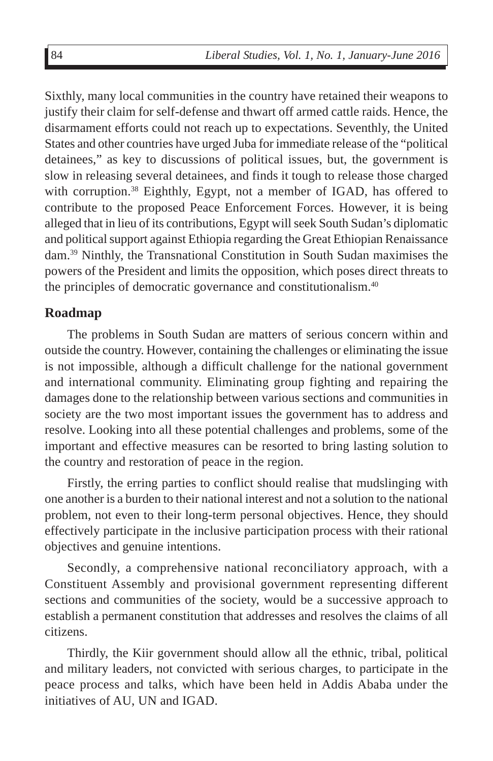Sixthly, many local communities in the country have retained their weapons to justify their claim for self-defense and thwart off armed cattle raids. Hence, the disarmament efforts could not reach up to expectations. Seventhly, the United States and other countries have urged Juba for immediate release of the "political detainees," as key to discussions of political issues, but, the government is slow in releasing several detainees, and finds it tough to release those charged with corruption.<sup>38</sup> Eighthly, Egypt, not a member of IGAD, has offered to contribute to the proposed Peace Enforcement Forces. However, it is being alleged that in lieu of its contributions, Egypt will seek South Sudan's diplomatic and political support against Ethiopia regarding the Great Ethiopian Renaissance dam.39 Ninthly, the Transnational Constitution in South Sudan maximises the powers of the President and limits the opposition, which poses direct threats to the principles of democratic governance and constitutionalism.<sup>40</sup>

#### **Roadmap**

The problems in South Sudan are matters of serious concern within and outside the country. However, containing the challenges or eliminating the issue is not impossible, although a difficult challenge for the national government and international community. Eliminating group fighting and repairing the damages done to the relationship between various sections and communities in society are the two most important issues the government has to address and resolve. Looking into all these potential challenges and problems, some of the important and effective measures can be resorted to bring lasting solution to the country and restoration of peace in the region.

Firstly, the erring parties to conflict should realise that mudslinging with one another is a burden to their national interest and not a solution to the national problem, not even to their long-term personal objectives. Hence, they should effectively participate in the inclusive participation process with their rational objectives and genuine intentions.

Secondly, a comprehensive national reconciliatory approach, with a Constituent Assembly and provisional government representing different sections and communities of the society, would be a successive approach to establish a permanent constitution that addresses and resolves the claims of all citizens.

Thirdly, the Kiir government should allow all the ethnic, tribal, political and military leaders, not convicted with serious charges, to participate in the peace process and talks, which have been held in Addis Ababa under the initiatives of AU, UN and IGAD.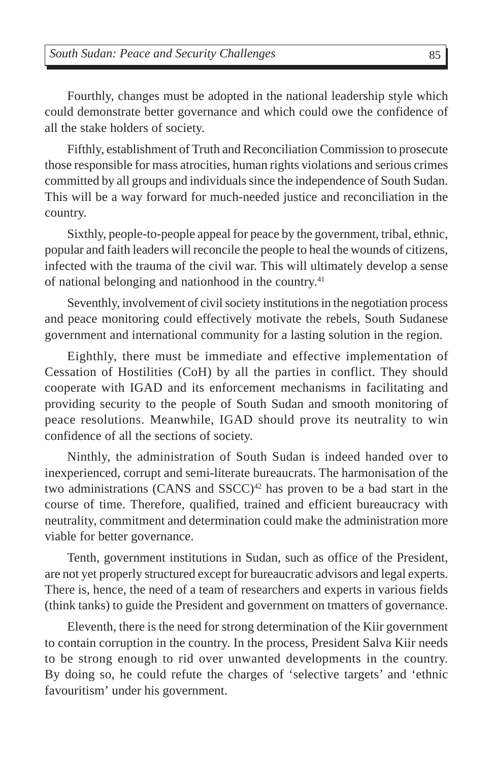Fourthly, changes must be adopted in the national leadership style which could demonstrate better governance and which could owe the confidence of all the stake holders of society.

Fifthly, establishment of Truth and Reconciliation Commission to prosecute those responsible for mass atrocities, human rights violations and serious crimes committed by all groups and individuals since the independence of South Sudan. This will be a way forward for much-needed justice and reconciliation in the country.

Sixthly, people-to-people appeal for peace by the government, tribal, ethnic, popular and faith leaders will reconcile the people to heal the wounds of citizens, infected with the trauma of the civil war. This will ultimately develop a sense of national belonging and nationhood in the country.<sup>41</sup>

Seventhly, involvement of civil society institutions in the negotiation process and peace monitoring could effectively motivate the rebels, South Sudanese government and international community for a lasting solution in the region.

Eighthly, there must be immediate and effective implementation of Cessation of Hostilities (CoH) by all the parties in conflict. They should cooperate with IGAD and its enforcement mechanisms in facilitating and providing security to the people of South Sudan and smooth monitoring of peace resolutions. Meanwhile, IGAD should prove its neutrality to win confidence of all the sections of society.

Ninthly, the administration of South Sudan is indeed handed over to inexperienced, corrupt and semi-literate bureaucrats. The harmonisation of the two administrations (CANS and  $SSCC)^{42}$  has proven to be a bad start in the course of time. Therefore, qualified, trained and efficient bureaucracy with neutrality, commitment and determination could make the administration more viable for better governance.

Tenth, government institutions in Sudan, such as office of the President, are not yet properly structured except for bureaucratic advisors and legal experts. There is, hence, the need of a team of researchers and experts in various fields (think tanks) to guide the President and government on tmatters of governance.

Eleventh, there is the need for strong determination of the Kiir government to contain corruption in the country. In the process, President Salva Kiir needs to be strong enough to rid over unwanted developments in the country. By doing so, he could refute the charges of 'selective targets' and 'ethnic favouritism' under his government.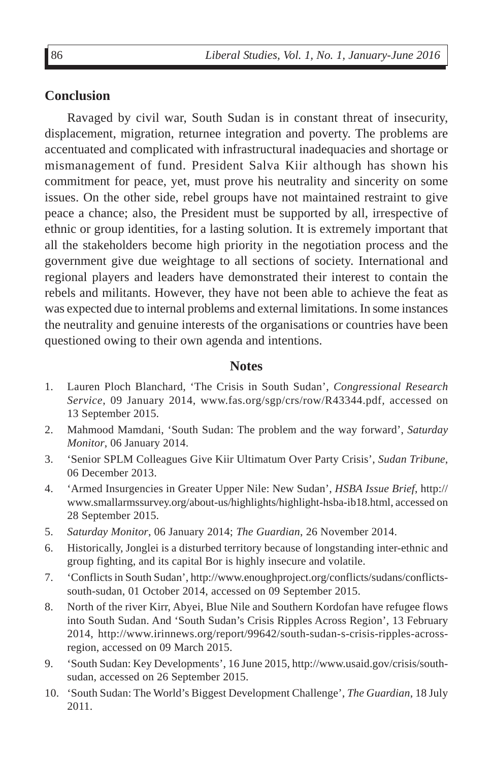#### **Conclusion**

Ravaged by civil war, South Sudan is in constant threat of insecurity, displacement, migration, returnee integration and poverty. The problems are accentuated and complicated with infrastructural inadequacies and shortage or mismanagement of fund. President Salva Kiir although has shown his commitment for peace, yet, must prove his neutrality and sincerity on some issues. On the other side, rebel groups have not maintained restraint to give peace a chance; also, the President must be supported by all, irrespective of ethnic or group identities, for a lasting solution. It is extremely important that all the stakeholders become high priority in the negotiation process and the government give due weightage to all sections of society. International and regional players and leaders have demonstrated their interest to contain the rebels and militants. However, they have not been able to achieve the feat as was expected due to internal problems and external limitations. In some instances the neutrality and genuine interests of the organisations or countries have been questioned owing to their own agenda and intentions.

#### **Notes**

- 1. Lauren Ploch Blanchard, 'The Crisis in South Sudan', *Congressional Research Service*, 09 January 2014, www.fas.org/sgp/crs/row/R43344.pdf*,* accessed on 13 September 2015.
- 2. Mahmood Mamdani, 'South Sudan: The problem and the way forward', *Saturday Monitor*, 06 January 2014.
- 3. 'Senior SPLM Colleagues Give Kiir Ultimatum Over Party Crisis', *Sudan Tribune*, 06 December 2013.
- 4. 'Armed Insurgencies in Greater Upper Nile: New Sudan', *HSBA Issue Brief*, http:// www.smallarmssurvey.org/about-us/highlights/highlight-hsba-ib18.html, accessed on 28 September 2015.
- 5. *Saturday Monitor*, 06 January 2014; *The Guardian*, 26 November 2014.
- 6. Historically, Jonglei is a disturbed territory because of longstanding inter-ethnic and group fighting, and its capital Bor is highly insecure and volatile.
- 7. 'Conflicts in South Sudan', http://www.enoughproject.org/conflicts/sudans/conflictssouth-sudan, 01 October 2014, accessed on 09 September 2015.
- 8. North of the river Kirr, Abyei, Blue Nile and Southern Kordofan have refugee flows into South Sudan. And 'South Sudan's Crisis Ripples Across Region', 13 February 2014, http://www.irinnews.org/report/99642/south-sudan-s-crisis-ripples-acrossregion, accessed on 09 March 2015.
- 9. 'South Sudan: Key Developments', 16 June 2015, http://www.usaid.gov/crisis/southsudan, accessed on 26 September 2015.
- 10. 'South Sudan: The World's Biggest Development Challenge', *The Guardian*, 18 July 2011.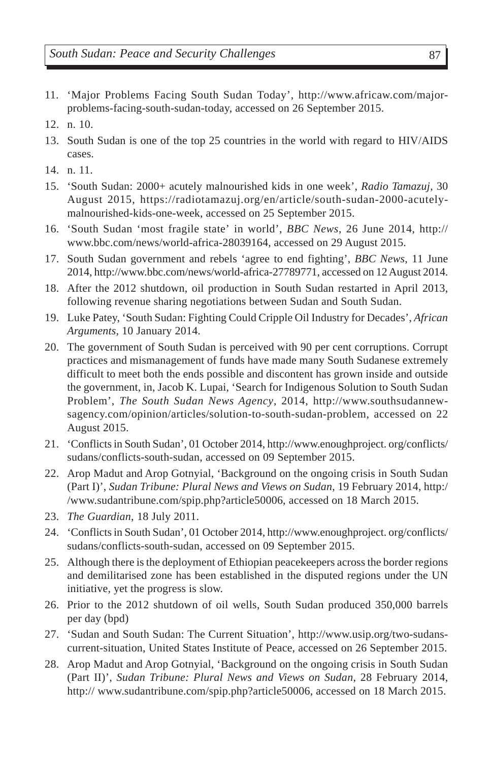- 11. 'Major Problems Facing South Sudan Today', http://www.africaw.com/majorproblems-facing-south-sudan-today, accessed on 26 September 2015.
- 12. n. 10.
- 13. South Sudan is one of the top 25 countries in the world with regard to HIV/AIDS cases.
- 14. n. 11.
- 15. 'South Sudan: 2000+ acutely malnourished kids in one week', *Radio Tamazuj*, 30 August 2015, https://radiotamazuj.org/en/article/south-sudan-2000-acutelymalnourished-kids-one-week, accessed on 25 September 2015.
- 16. 'South Sudan 'most fragile state' in world', *BBC News*, 26 June 2014, http:// www.bbc.com/news/world-africa-28039164, accessed on 29 August 2015.
- 17. South Sudan government and rebels 'agree to end fighting', *BBC News,* 11 June 2014, http://www.bbc.com/news/world-africa-27789771, accessed on 12 August 2014.
- 18. After the 2012 shutdown, oil production in South Sudan restarted in April 2013, following revenue sharing negotiations between Sudan and South Sudan.
- 19. Luke Patey, 'South Sudan: Fighting Could Cripple Oil Industry for Decades', *African Arguments*, 10 January 2014.
- 20. The government of South Sudan is perceived with 90 per cent corruptions. Corrupt practices and mismanagement of funds have made many South Sudanese extremely difficult to meet both the ends possible and discontent has grown inside and outside the government, in, Jacob K. Lupai, 'Search for Indigenous Solution to South Sudan Problem', *The South Sudan News Agency*, 2014, http://www.southsudannewsagency.com/opinion/articles/solution-to-south-sudan-problem, accessed on 22 August 2015.
- 21. 'Conflicts in South Sudan', 01 October 2014, http://www.enoughproject. org/conflicts/ sudans/conflicts-south-sudan, accessed on 09 September 2015.
- 22. Arop Madut and Arop Gotnyial, 'Background on the ongoing crisis in South Sudan (Part I)', *Sudan Tribune: Plural News and Views on Sudan*, 19 February 2014, http:/ /www.sudantribune.com/spip.php?article50006, accessed on 18 March 2015.
- 23. *The Guardian*, 18 July 2011.
- 24. 'Conflicts in South Sudan', 01 October 2014, http://www.enoughproject. org/conflicts/ sudans/conflicts-south-sudan, accessed on 09 September 2015.
- 25. Although there is the deployment of Ethiopian peacekeepers across the border regions and demilitarised zone has been established in the disputed regions under the UN initiative, yet the progress is slow.
- 26. Prior to the 2012 shutdown of oil wells, South Sudan produced 350,000 barrels per day (bpd)
- 27. 'Sudan and South Sudan: The Current Situation', http://www.usip.org/two-sudanscurrent-situation, United States Institute of Peace, accessed on 26 September 2015.
- 28. Arop Madut and Arop Gotnyial, 'Background on the ongoing crisis in South Sudan (Part II)', *Sudan Tribune: Plural News and Views on Sudan*, 28 February 2014, http:// www.sudantribune.com/spip.php?article50006, accessed on 18 March 2015.